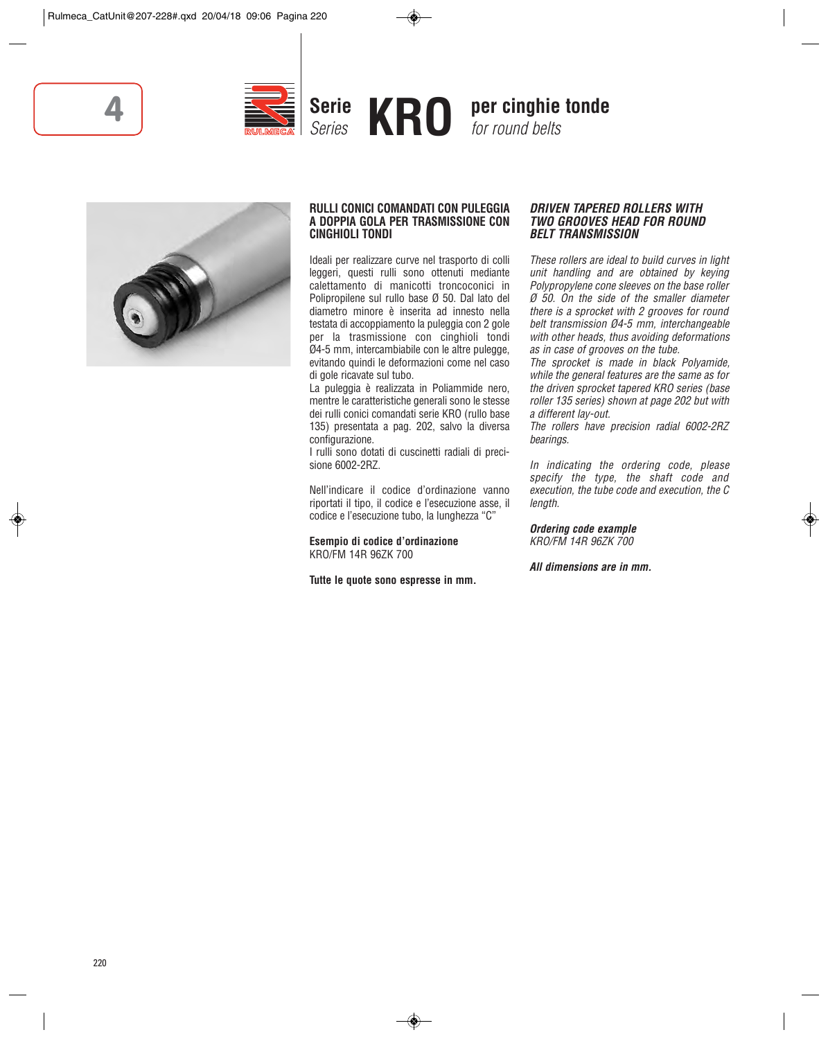



for round belts



## **RULLI CONICI COMANDATI CON PULEGGIA A DOPPIA GOLA PER TRASMISSIONE CON CINGHIOLI TONDI**

Ideali per realizzare curve nel trasporto di colli leggeri, questi rulli sono ottenuti mediante calettamento di manicotti troncoconici in Polipropilene sul rullo base Ø 50. Dal lato del diametro minore è inserita ad innesto nella testata di accoppiamento la puleggia con 2 gole per la trasmissione con cinghioli tondi Ø4-5 mm, intercambiabile con le altre pulegge, evitando quindi le deformazioni come nel caso di gole ricavate sul tubo.

La puleggia è realizzata in Poliammide nero, mentre le caratteristiche generali sono le stesse dei rulli conici comandati serie KRO (rullo base 135) presentata a pag. 202, salvo la diversa configurazione.

I rulli sono dotati di cuscinetti radiali di precisione 6002-2RZ.

Nell'indicare il codice d'ordinazione vanno riportati il tipo, il codice e l'esecuzione asse, il codice e l'esecuzione tubo, la lunghezza "C"

**Esempio di codice d'ordinazione** KRO/FM 14R 96ZK 700

**Tutte le quote sono espresse in mm.**

## *DRIVEN TAPERED ROLLERS WITH TWO GROOVES HEAD FOR ROUND BELT TRANSMISSION*

These rollers are ideal to build curves in light unit handling and are obtained by keying Polypropylene cone sleeves on the base roller Ø 50. On the side of the smaller diameter there is a sprocket with 2 grooves for round belt transmission Ø4-5 mm, interchangeable with other heads, thus avoiding deformations as in case of grooves on the tube.

The sprocket is made in black Polyamide, while the general features are the same as for the driven sprocket tapered KRO series (base roller 135 series) shown at page 202 but with a different lay-out.

The rollers have precision radial 6002-2RZ bearings.

In indicating the ordering code, please specify the type, the shaft code and execution, the tube code and execution, the C length.

*Ordering code example* KRO/FM 14R 96ZK 700

*All dimensions are in mm.*